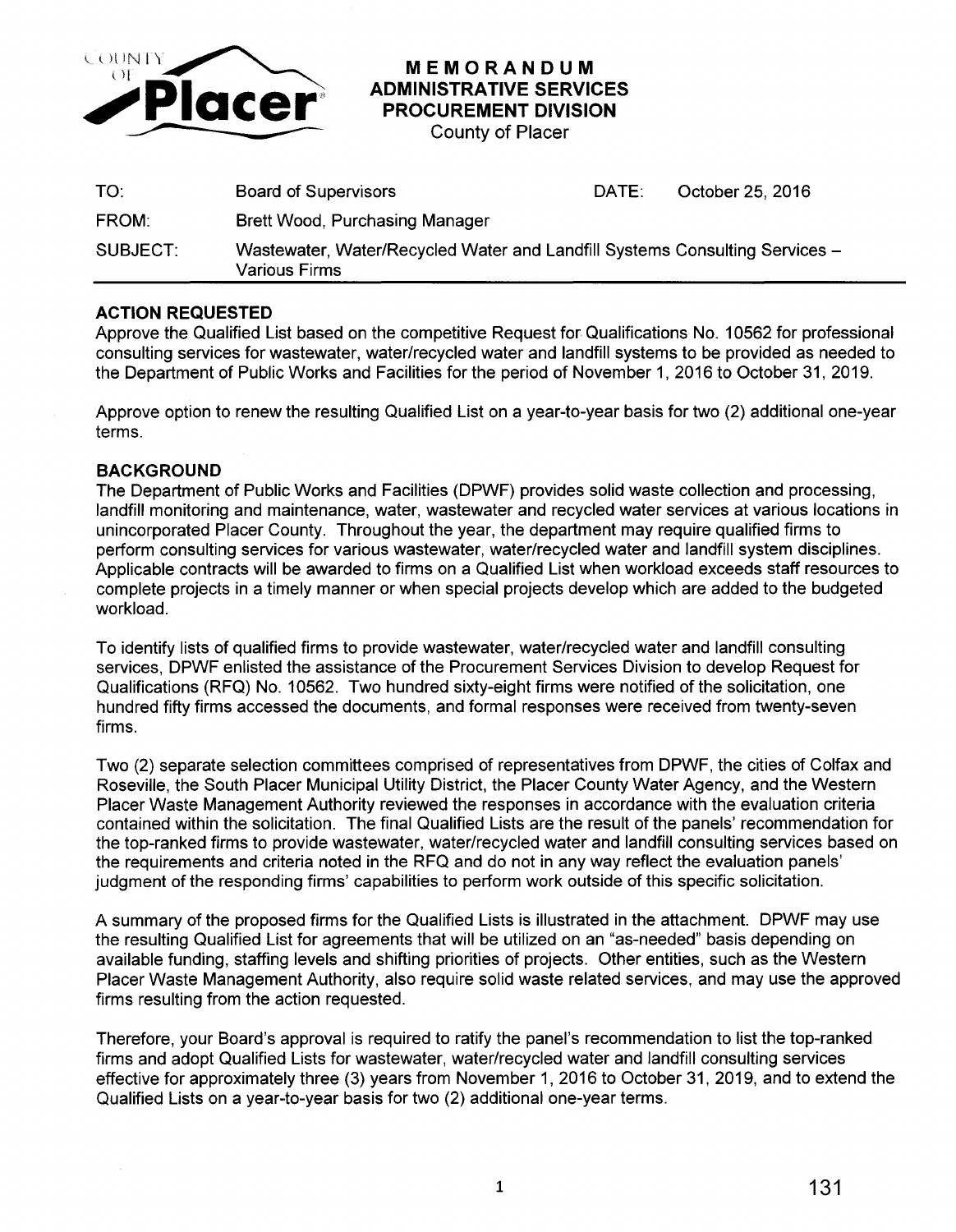

## **MEMORANDUM ADMINISTRATIVE SERVICES PROCUREMENT DIVISION**

County of Placer

| TO:      | <b>Board of Supervisors</b>                                                                         | DATE: | October 25, 2016 |
|----------|-----------------------------------------------------------------------------------------------------|-------|------------------|
| FROM:    | <b>Brett Wood, Purchasing Manager</b>                                                               |       |                  |
| SUBJECT: | Wastewater, Water/Recycled Water and Landfill Systems Consulting Services -<br><b>Various Firms</b> |       |                  |

## **ACTION REQUESTED**

Approve the Qualified List based on the competitive Request for Qualifications No. 10562 for professional consulting services for wastewater, water/recycled water and landfill systems to be provided as needed to the Department of Public Works and Facilities for the period of November 1, 2016 to October 31, 2019.

Approve option to renew the resulting Qualified List on a year-to-year basis for two (2) additional one-year terms.

## **BACKGROUND**

The Department of Public Works and Facilities (DPWF) provides solid waste collection and processing, landfill monitoring and maintenance, water, wastewater and recycled water services at various locations in unincorporated Placer County. Throughout the year, the department may require qualified firms to perform consulting services for various wastewater, water/recycled water and landfill system disciplines. Applicable contracts will be awarded to firms on a Qualified List when workload exceeds staff resources to complete projects in a timely manner or when special projects develop which are added to the budgeted workload.

To identify lists of qualified firms to provide wastewater, water/recycled water and landfill consulting services, DPWF enlisted the assistance of the Procurement Services Division to develop Request for Qualifications (RFQ) No. 10562. Two hundred sixty-eight firms were notified of the solicitation, one hundred fifty firms accessed the documents, and formal responses were received from twenty-seven firms.

Two (2) separate selection committees comprised of representatives from DPWF, the cities of Colfax and Roseville, the South Placer Municipal Utility District, the Placer County Water Agency, and the Western Placer Waste Management Authority reviewed the responses in accordance with the evaluation criteria contained within the solicitation. The final Qualified Lists are the result of the panels' recommendation for the top-ranked firms to provide wastewater, water/recycled water and landfill consulting services based on the requirements and criteria noted in the RFQ and do not in any way reflect the evaluation panels' judgment of the responding firms' capabilities to perform work outside of this specific solicitation.

A summary of the proposed firms for the Qualified Lists is illustrated in the attachment. DPWF may use the resulting Qualified List for agreements that will be utilized on an "as-needed" basis depending on available funding, staffing levels and shifting priorities of projects. Other entities, such as the Western Placer Waste Management Authority, also require solid waste related services, and may use the approved firms resulting from the action requested.

Therefore, your Board's approval is required to ratify the panel's recommendation to list the top-ranked firms and adopt Qualified Lists for wastewater, water/recycled water and landfill consulting services effective for approximately three (3) years from November 1, 2016 to October 31, 2019, and to extend the Qualified Lists on a year-to-year basis for two (2) additional one-year terms.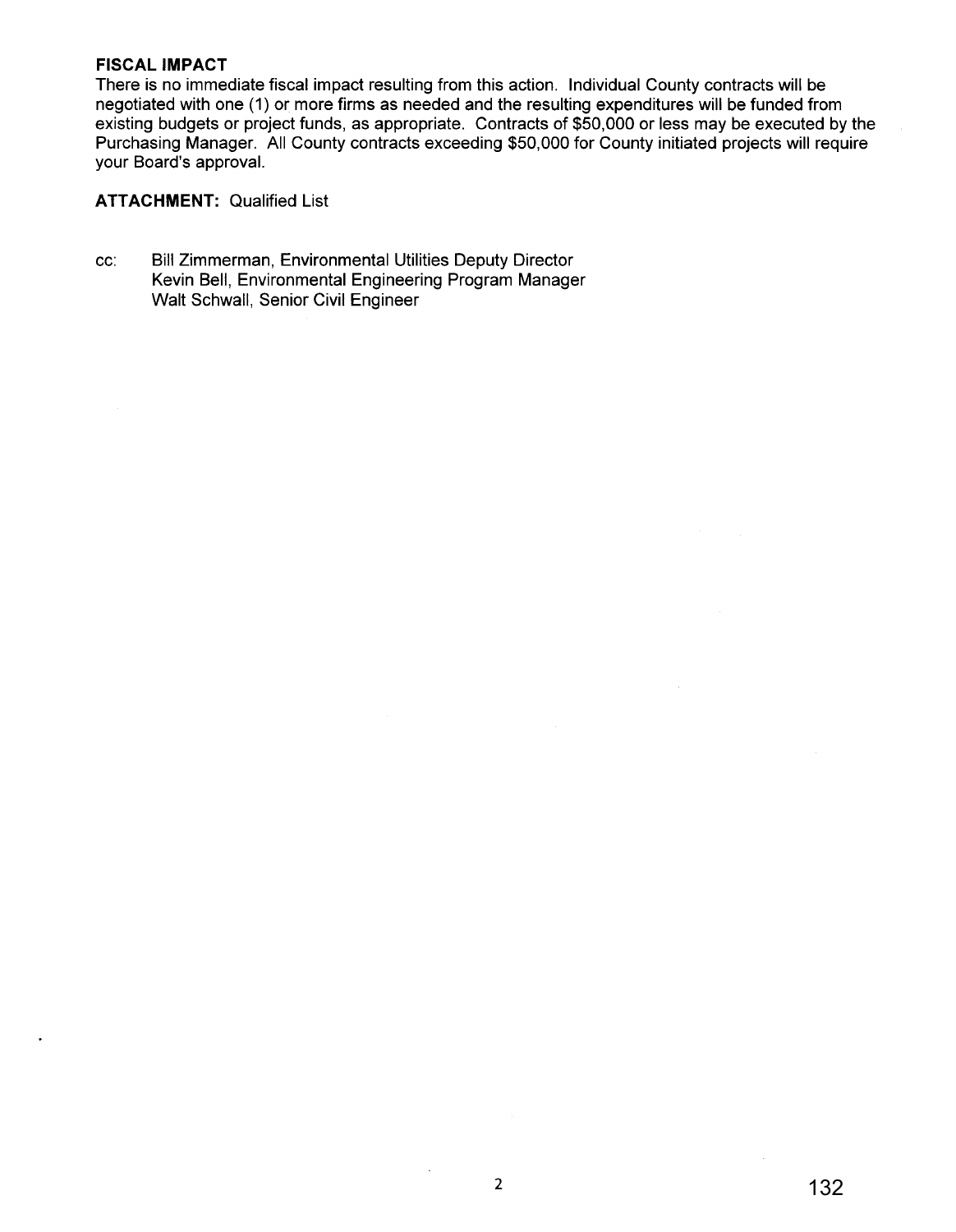#### **FISCAL IMPACT**

There is no immediate fiscal impact resulting from this action. Individual County contracts will be negotiated with one (1) or more firms as needed and the resulting expenditures will be funded from existing budgets or project funds, as appropriate. Contracts of \$50,000 or less may be executed by the Purchasing Manager. All County contracts exceeding \$50,000 for County initiated projects will require your Board's approval.

### **ATTACHMENT:** Qualified List

cc: Bill Zimmerman, Environmental Utilities Deputy Director Kevin Bell, Environmental Engineering Program Manager Walt Schwall, Senior Civil Engineer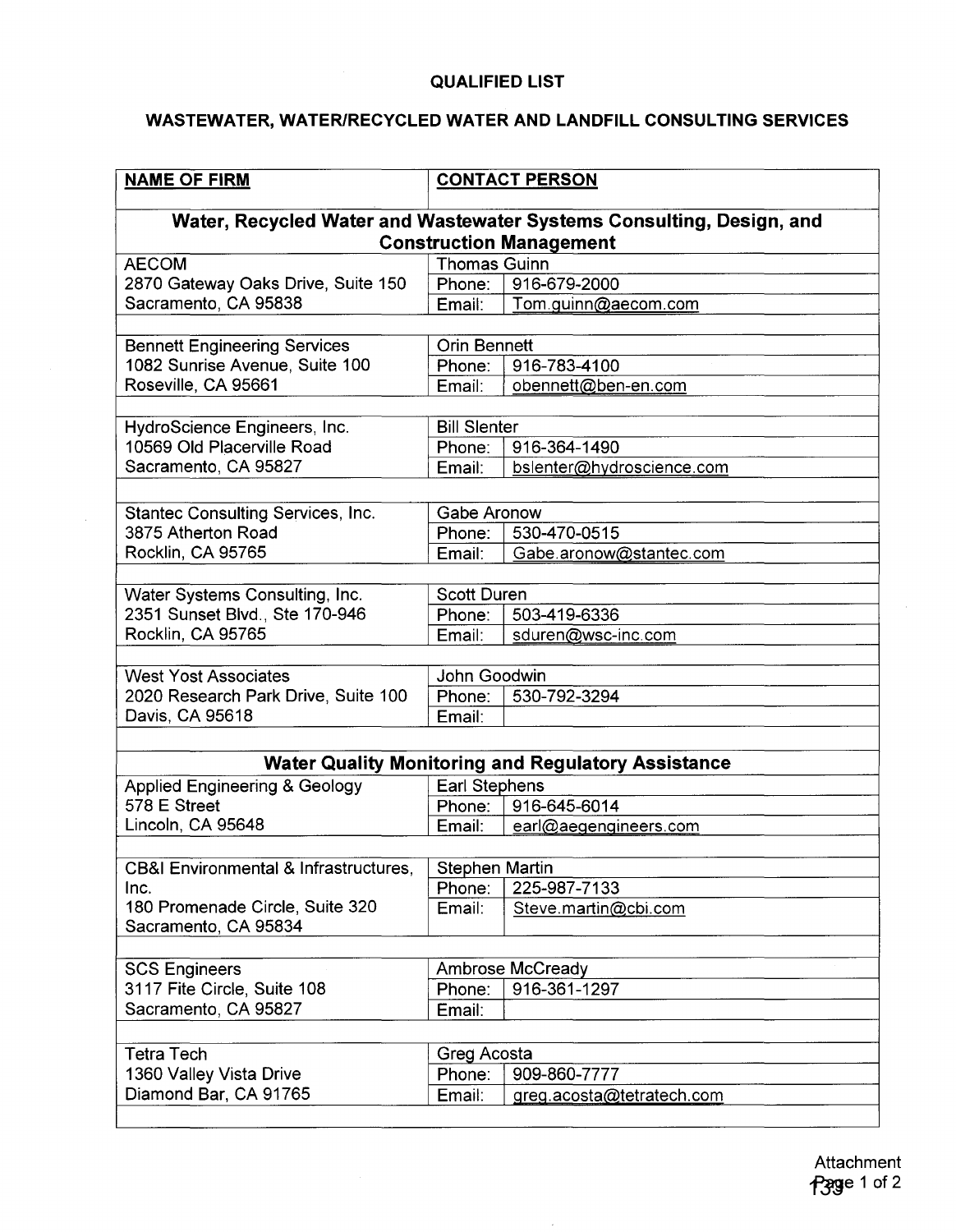## **QUALIFIED LIST**

# **WASTEWATER, WATER/RECYCLED WATER AND LANDFILL CONSULTING SERVICES**

| <b>NAME OF FIRM</b>                                                  | <b>CONTACT PERSON</b> |                                                           |  |  |  |
|----------------------------------------------------------------------|-----------------------|-----------------------------------------------------------|--|--|--|
| Water, Recycled Water and Wastewater Systems Consulting, Design, and |                       |                                                           |  |  |  |
| <b>Construction Management</b>                                       |                       |                                                           |  |  |  |
| <b>AECOM</b><br><b>Thomas Guinn</b>                                  |                       |                                                           |  |  |  |
| 2870 Gateway Oaks Drive, Suite 150                                   | Phone:                | 916-679-2000                                              |  |  |  |
| Sacramento, CA 95838                                                 | Email:                | Tom.guinn@aecom.com                                       |  |  |  |
|                                                                      |                       |                                                           |  |  |  |
| <b>Bennett Engineering Services</b>                                  | <b>Orin Bennett</b>   |                                                           |  |  |  |
| 1082 Sunrise Avenue, Suite 100                                       | Phone:                | 916-783-4100                                              |  |  |  |
| Roseville, CA 95661                                                  | Email:                | obennett@ben-en.com                                       |  |  |  |
|                                                                      |                       |                                                           |  |  |  |
| HydroScience Engineers, Inc.                                         | <b>Bill Slenter</b>   |                                                           |  |  |  |
| 10569 Old Placerville Road                                           | Phone:                | 916-364-1490                                              |  |  |  |
| Sacramento, CA 95827                                                 | Email:                | bslenter@hydroscience.com                                 |  |  |  |
|                                                                      |                       |                                                           |  |  |  |
| <b>Stantec Consulting Services, Inc.</b>                             |                       | Gabe Aronow                                               |  |  |  |
| 3875 Atherton Road                                                   | Phone:                | 530-470-0515                                              |  |  |  |
| Rocklin, CA 95765                                                    | Email:                | Gabe.aronow@stantec.com                                   |  |  |  |
|                                                                      |                       |                                                           |  |  |  |
| Water Systems Consulting, Inc.                                       | <b>Scott Duren</b>    |                                                           |  |  |  |
| 2351 Sunset Blvd., Ste 170-946                                       | Phone:                | 503-419-6336                                              |  |  |  |
| Rocklin, CA 95765                                                    | Email:                | sduren@wsc-inc.com                                        |  |  |  |
|                                                                      |                       |                                                           |  |  |  |
| John Goodwin<br><b>West Yost Associates</b>                          |                       |                                                           |  |  |  |
| 2020 Research Park Drive, Suite 100                                  | Phone:                | 530-792-3294                                              |  |  |  |
| Davis, CA 95618                                                      | Email:                |                                                           |  |  |  |
|                                                                      |                       |                                                           |  |  |  |
|                                                                      |                       | <b>Water Quality Monitoring and Regulatory Assistance</b> |  |  |  |
| <b>Applied Engineering &amp; Geology</b>                             | Earl Stephens         |                                                           |  |  |  |
| 578 E Street                                                         | Phone:                | 916-645-6014                                              |  |  |  |
| Lincoln, CA 95648                                                    | Email:                | earl@aegengineers.com                                     |  |  |  |
|                                                                      |                       |                                                           |  |  |  |
| CB&I Environmental & Infrastructures,<br><b>Stephen Martin</b>       |                       |                                                           |  |  |  |
| Inc.                                                                 | Phone:                | 225-987-7133                                              |  |  |  |
| 180 Promenade Circle, Suite 320                                      | Email:                | Steve.martin@cbi.com                                      |  |  |  |
| Sacramento, CA 95834                                                 |                       |                                                           |  |  |  |
|                                                                      |                       |                                                           |  |  |  |
| <b>Ambrose McCready</b><br><b>SCS Engineers</b>                      |                       |                                                           |  |  |  |
| 3117 Fite Circle, Suite 108                                          | Phone:                | 916-361-1297                                              |  |  |  |
| Sacramento, CA 95827                                                 | Email:                |                                                           |  |  |  |
|                                                                      |                       |                                                           |  |  |  |
|                                                                      |                       |                                                           |  |  |  |
| <b>Tetra Tech</b>                                                    | Greg Acosta           |                                                           |  |  |  |
| 1360 Valley Vista Drive                                              | Phone:                | 909-860-7777                                              |  |  |  |
| Diamond Bar, CA 91765                                                | Email:                | greg.acosta@tetratech.com                                 |  |  |  |
|                                                                      |                       |                                                           |  |  |  |

 $\bar{\gamma}$